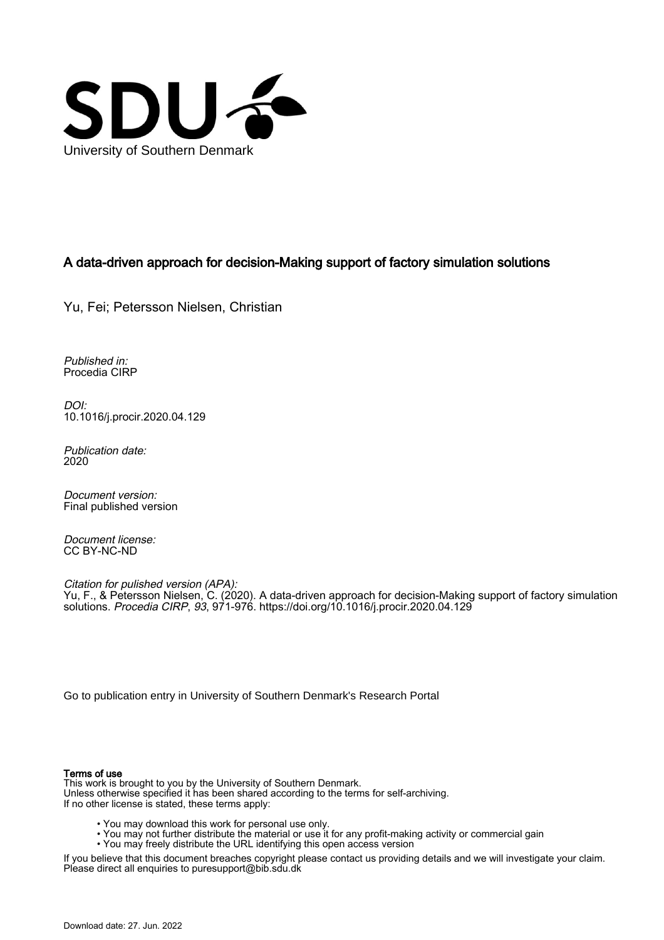

## A data-driven approach for decision-Making support of factory simulation solutions

Yu, Fei; Petersson Nielsen, Christian

Published in: Procedia CIRP

DOI: [10.1016/j.procir.2020.04.129](https://doi.org/10.1016/j.procir.2020.04.129)

Publication date: 2020

Document version: Final published version

Document license: CC BY-NC-ND

Citation for pulished version (APA): Yu, F., & Petersson Nielsen, C. (2020). A data-driven approach for decision-Making support of factory simulation solutions. Procedia CIRP, 93, 971-976. <https://doi.org/10.1016/j.procir.2020.04.129>

[Go to publication entry in University of Southern Denmark's Research Portal](https://portal.findresearcher.sdu.dk/en/publications/90b25a61-7824-468a-8889-db96afbd7cc1)

## Terms of use

This work is brought to you by the University of Southern Denmark. Unless otherwise specified it has been shared according to the terms for self-archiving. If no other license is stated, these terms apply:

- You may download this work for personal use only.
- You may not further distribute the material or use it for any profit-making activity or commercial gain
- You may freely distribute the URL identifying this open access version

If you believe that this document breaches copyright please contact us providing details and we will investigate your claim. Please direct all enquiries to puresupport@bib.sdu.dk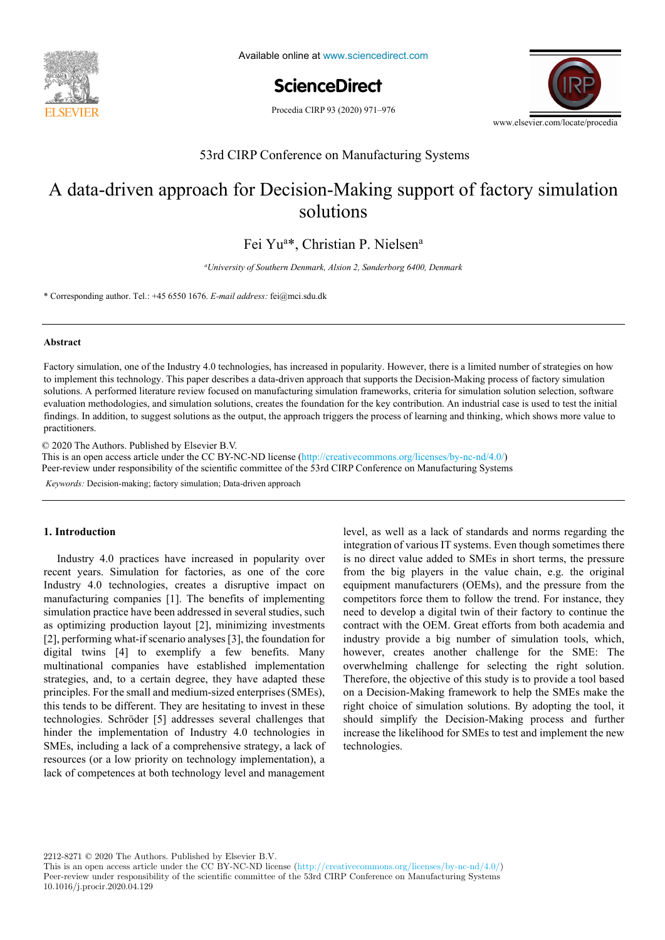

Available online at www.sciencedirect.com

ScienceDirect

Procedia CIRP 93 (2020) 971-976



53rd CIRP Conference on Manufacturing Systems 53rd CIRP Conference on Manufacturing Systems

# A data-driven approach for Decision-Making support of factory simulation  $\overline{\text{Solutions}}$ solutions

Fei Yu<sup>a\*</sup>, Christian P. Nielsen<sup>a</sup>

<sup>a</sup>University of Southern Denmark, Alsion 2, Sønderborg 6400, Denmark

*École Nationale Supérieure d'Arts et Métiers, Arts et Métiers ParisTech, LCFC EA 4495, 4 Rue Augustin Fresnel, Metz 57078, France*  \* Corresponding author. Tel.: +45 6550 1676. *E-mail address:* fei@mci.sdu.dk

#### **Abstract**  $F_{\text{F}}$  is defined in popularity. However, the industry  $\frac{1}{2}$ **Abstract**

to implement this technology. This paper describes a data-driven approach that supports the Decision-Making process of factory simulation evaluation methodologies, and simulation solutions, creates the foundation for the key contribution. An industrial case is used to test the initial evaluation methodologies, and simulation solutions, creates the foundation findings. In addition to suggest solutions as the output, the approach triggers the process of learning and thinking, which shows more value to  $s_{\text{c}}$  as to choose the optimal product analysis methods are needed. In the known methods are needed. In the known methods and  $s_{\text{c}}$ Factory simulation, one of the Industry 4.0 technologies, has increased in popularity. However, there is a limited number of strategies on how solutions. A performed literature review focused on manufacturing simulation frameworks, criteria for simulation solution selection, software practitioners. findings. In addition, to suggest solutions as the output, the approach triggers the process of learning and thinking, which shows more value to Provincial. Published by Elsevier B.V. practitioners.

a functional analysis is performed. Moreover, a hybrid functional and physical architecture graph (HyFPAG) is the output which depicts the

analyze a product family on the physical level. Different product families, however, may different product families, however, may different product families, however, may differ largely in terms of the number and  $\alpha$  $\degree$  2020 The Authors. Fublished by Elsevier B.V. This is an open access article under the CC BY-NC-ND license (http://creativecommons.org/licenses/by-nc-nd/4.0/) Peer-review under responsibility of the scientific committee of the 53rd CIRP Conference on Manufacturing Systems Keywords: Decision-making; factory simulation; Data-driven approach  $\odot$  2020 The Authors. Published by Elsevier B.V.

#### **1. Introduction**

Industry 4.0 practices have increased in popularity over is no direct value added the 28th CIRP Design Conference 2018. Integration of various 11 st Industry 4.0 technologies, creates a disruptive impact on  $\tilde{E}$  $[2]$ , performing what-if scenario analyses  $[3]$ , the foundation for  $[2]$ , performing what-if scenario analyses  $[3]$ , the foundation for multinational companies have established implementation multinational companies have established implementation strategies, and, to a certain degree, they have adapted these principles. For the small and medium-sized enterprises (SMEs), principles. For the small and medium-sized enterprises (SMEs), principles. For the small and medium-sized enterprises (SMEs), this tends to be different. They are hesitating to invest in these technologies. Schröder [5] addresses several challenges that technologies. technologies. Senoder [5] addresses several challenges that<br>hinder the implementation of Industry 4.0 technologies in mater the implementation of industry 4.0 technologies in SMEs, including a lack of a comprehensive strategy, a lack of extend, including a lack of a comprehensive strategy, a lack of resources (or a low priority on technology implementation), a which is induced to the development from the development from magnetic microsoft of commentances at both technology layed and management lack of competences at both technology level and management recent years. Simulation for factories, as one of the core manufacturing companies [1]. The benefits of implementing simulation practice have been addressed in several studies, such as optimizing production layout [2], minimizing investments digital twins [4] to exemplify a few benefits. Many

*Keywords:* Decision-making; factory simulation; Data-driven approach

example of a nail-clipper is used to explain the proposed methodology. An industrial case study on two product families of steering columns of 1. Introduction level, as well as a lack of standards and norms regarding the industry provide a big number of simulation tools, which, industry provide a big number of simulation tools, which, maistry provide a  $\sigma$ g number of simulation tools, which, however, creates another challenge for the SME: The overwhelming challenge for selecting the right solution. Therefore, the objective of this study is to provide a tool based Therefore, the objective of this study is to provide a tool based on a Decision-Making framework to help the SMEs make the orientation and Decision-Making framework to help the SMEs make the on a Decision-Making framework to help the SMEs make the right choice of simulation solutions. By adopting the tool, it right choice of simulation solutions. By adopting the tool, it should simplify the Decision-Making process and further increase the likelihood for SMEs to test and implement the new increase the likelihood for SMEs to test and implement the new technologies main characteristics: integration of various IT systems. Even though sometimes there is no direct value added to SMEs in short terms, the pressure from the big players in the value chain, e.g. the original equipment manufacturers (OEMs), and the pressure from the competitors force them to follow the trend. For instance, they need to develop a digital twin of their factory to continue the contract with the OEM. Great efforts from both academia and technologies.

2212-8271 © 2020 The Authors. Published by Elsevier B.V.

This is an open access article under the CC BY-NC-ND license (http://creativecommons.org/licenses/by-nc-nd/4.0/) Peer-review under responsibility of the scientific committee of the 53rd CIRP Conference on Manufacturing Systems 10.1016/j.procir.2020.04.129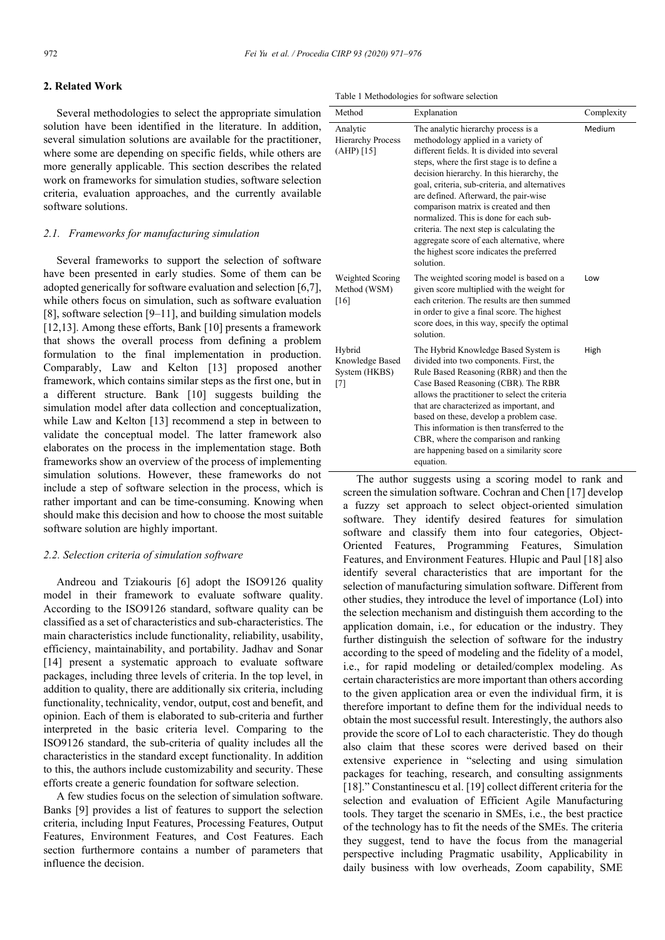#### **2. Related Work**

Several methodologies to select the appropriate simulation solution have been identified in the literature. In addition, several simulation solutions are available for the practitioner, where some are depending on specific fields, while others are more generally applicable. This section describes the related work on frameworks for simulation studies, software selection criteria, evaluation approaches, and the currently available software solutions.

## *2.1. Frameworks for manufacturing simulation*

Several frameworks to support the selection of software have been presented in early studies. Some of them can be adopted generically for software evaluation and selection [6,7], while others focus on simulation, such as software evaluation [8], software selection [9–11], and building simulation models [12,13]. Among these efforts, Bank [10] presents a framework that shows the overall process from defining a problem formulation to the final implementation in production. Comparably, Law and Kelton [13] proposed another framework, which contains similar steps as the first one, but in a different structure. Bank [10] suggests building the simulation model after data collection and conceptualization, while Law and Kelton [13] recommend a step in between to validate the conceptual model. The latter framework also elaborates on the process in the implementation stage. Both frameworks show an overview of the process of implementing simulation solutions. However, these frameworks do not include a step of software selection in the process, which is rather important and can be time-consuming. Knowing when should make this decision and how to choose the most suitable software solution are highly important.

## *2.2. Selection criteria of simulation software*

Andreou and Tziakouris [6] adopt the ISO9126 quality model in their framework to evaluate software quality. According to the ISO9126 standard, software quality can be classified as a set of characteristics and sub-characteristics. The main characteristics include functionality, reliability, usability, efficiency, maintainability, and portability. Jadhav and Sonar [14] present a systematic approach to evaluate software packages, including three levels of criteria. In the top level, in addition to quality, there are additionally six criteria, including functionality, technicality, vendor, output, cost and benefit, and opinion. Each of them is elaborated to sub-criteria and further interpreted in the basic criteria level. Comparing to the ISO9126 standard, the sub-criteria of quality includes all the characteristics in the standard except functionality. In addition to this, the authors include customizability and security. These efforts create a generic foundation for software selection.

A few studies focus on the selection of simulation software. Banks [9] provides a list of features to support the selection criteria, including Input Features, Processing Features, Output Features, Environment Features, and Cost Features. Each section furthermore contains a number of parameters that influence the decision.

Table 1 Methodologies for software selection

| Method                                                 | Explanation                                                                                                                                                                                                                                                                                                                                                                                                                                                                                                                                                 | Complexity |
|--------------------------------------------------------|-------------------------------------------------------------------------------------------------------------------------------------------------------------------------------------------------------------------------------------------------------------------------------------------------------------------------------------------------------------------------------------------------------------------------------------------------------------------------------------------------------------------------------------------------------------|------------|
| Analytic<br><b>Hierarchy Process</b><br>$(AHP)$ [15]   | The analytic hierarchy process is a<br>methodology applied in a variety of<br>different fields. It is divided into several<br>steps, where the first stage is to define a<br>decision hierarchy. In this hierarchy, the<br>goal, criteria, sub-criteria, and alternatives<br>are defined. Afterward, the pair-wise<br>comparison matrix is created and then<br>normalized. This is done for each sub-<br>criteria. The next step is calculating the<br>aggregate score of each alternative, where<br>the highest score indicates the preferred<br>solution. | Medium     |
| Weighted Scoring<br>Method (WSM)<br>[16]               | The weighted scoring model is based on a<br>given score multiplied with the weight for<br>each criterion. The results are then summed<br>in order to give a final score. The highest<br>score does, in this way, specify the optimal<br>solution.                                                                                                                                                                                                                                                                                                           | Low        |
| Hybrid<br>Knowledge Based<br>System (HKBS)<br>$^{[7]}$ | The Hybrid Knowledge Based System is<br>divided into two components. First, the<br>Rule Based Reasoning (RBR) and then the<br>Case Based Reasoning (CBR). The RBR<br>allows the practitioner to select the criteria<br>that are characterized as important, and<br>based on these, develop a problem case.<br>This information is then transferred to the<br>CBR, where the comparison and ranking<br>are happening based on a similarity score<br>equation.                                                                                                | High       |

The author suggests using a scoring model to rank and screen the simulation software. Cochran and Chen [17] develop a fuzzy set approach to select object-oriented simulation software. They identify desired features for simulation software and classify them into four categories, Object-Oriented Features, Programming Features, Simulation Features, and Environment Features. Hlupic and Paul [18] also identify several characteristics that are important for the selection of manufacturing simulation software. Different from other studies, they introduce the level of importance (LoI) into the selection mechanism and distinguish them according to the application domain, i.e., for education or the industry. They further distinguish the selection of software for the industry according to the speed of modeling and the fidelity of a model, i.e., for rapid modeling or detailed/complex modeling. As certain characteristics are more important than others according to the given application area or even the individual firm, it is therefore important to define them for the individual needs to obtain the most successful result. Interestingly, the authors also provide the score of LoI to each characteristic. They do though also claim that these scores were derived based on their extensive experience in "selecting and using simulation packages for teaching, research, and consulting assignments [18]." Constantinescu et al. [19] collect different criteria for the selection and evaluation of Efficient Agile Manufacturing tools. They target the scenario in SMEs, i.e., the best practice of the technology has to fit the needs of the SMEs. The criteria they suggest, tend to have the focus from the managerial perspective including Pragmatic usability, Applicability in daily business with low overheads, Zoom capability, SME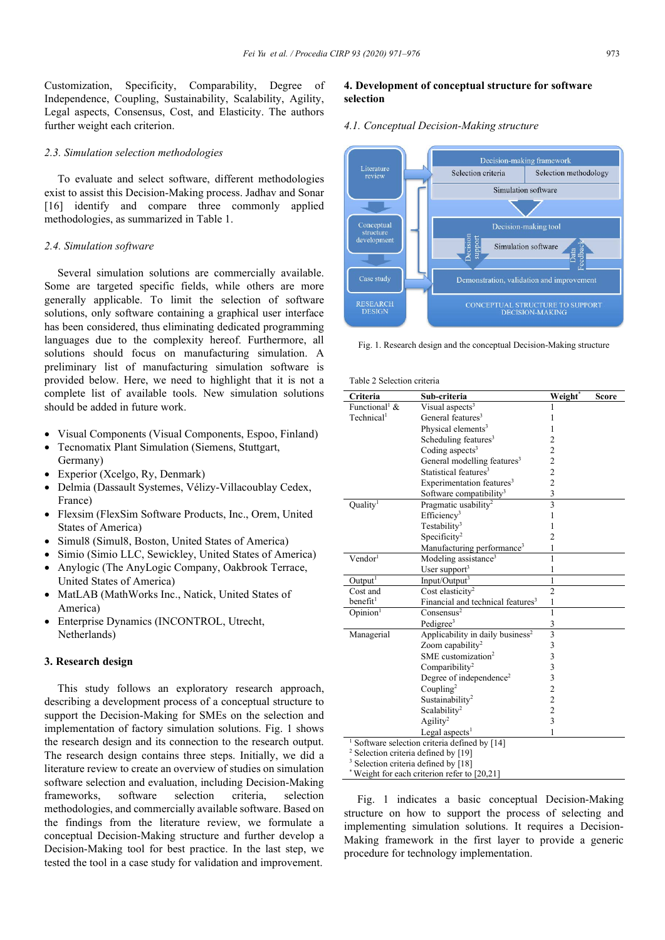Customization, Specificity, Comparability, Degree of Independence, Coupling, Sustainability, Scalability, Agility, Legal aspects, Consensus, Cost, and Elasticity. The authors further weight each criterion.

#### *2.3. Simulation selection methodologies*

To evaluate and select software, different methodologies exist to assist this Decision-Making process. Jadhav and Sonar [16] identify and compare three commonly applied methodologies, as summarized in Table 1.

## *2.4. Simulation software*

Several simulation solutions are commercially available. Some are targeted specific fields, while others are more generally applicable. To limit the selection of software solutions, only software containing a graphical user interface has been considered, thus eliminating dedicated programming languages due to the complexity hereof. Furthermore, all solutions should focus on manufacturing simulation. A preliminary list of manufacturing simulation software is provided below. Here, we need to highlight that it is not a complete list of available tools. New simulation solutions should be added in future work.

- Visual Components (Visual Components, Espoo, Finland)
- Tecnomatix Plant Simulation (Siemens, Stuttgart, Germany)
- Experior (Xcelgo, Ry, Denmark)
- Delmia (Dassault Systemes, Vélizy-Villacoublay Cedex, France)
- Flexsim (FlexSim Software Products, Inc., Orem, United States of America)
- Simul8 (Simul8, Boston, United States of America)
- Simio (Simio LLC, Sewickley, United States of America)
- Anylogic (The AnyLogic Company, Oakbrook Terrace, United States of America)
- MatLAB (MathWorks Inc., Natick, United States of America)
- Enterprise Dynamics (INCONTROL, Utrecht, Netherlands)

#### **3. Research design**

This study follows an exploratory research approach, describing a development process of a conceptual structure to support the Decision-Making for SMEs on the selection and implementation of factory simulation solutions. Fig. 1 shows the research design and its connection to the research output. The research design contains three steps. Initially, we did a literature review to create an overview of studies on simulation software selection and evaluation, including Decision-Making frameworks, software selection criteria, selection methodologies, and commercially available software. Based on the findings from the literature review, we formulate a conceptual Decision-Making structure and further develop a Decision-Making tool for best practice. In the last step, we tested the tool in a case study for validation and improvement.

### **4. Development of conceptual structure for software selection**

#### *4.1. Conceptual Decision-Making structure*



Fig. 1. Research design and the conceptual Decision-Making structure

Table 2 Selection criteria

| Criteria                                        | Sub-criteria                                  | Weight*                 | <b>Score</b> |  |
|-------------------------------------------------|-----------------------------------------------|-------------------------|--------------|--|
| Functional <sup>1</sup> &                       | Visual aspects <sup>3</sup>                   |                         |              |  |
| Technical <sup>1</sup>                          | General features <sup>3</sup>                 |                         |              |  |
|                                                 | Physical elements <sup>3</sup>                |                         |              |  |
|                                                 | Scheduling features <sup>3</sup>              | $\overline{c}$          |              |  |
|                                                 | Coding aspects <sup>3</sup>                   | $\overline{\mathbf{c}}$ |              |  |
|                                                 | General modelling features <sup>3</sup>       | $\overline{c}$          |              |  |
|                                                 | Statistical features <sup>3</sup>             | $\overline{c}$          |              |  |
|                                                 | Experimentation features <sup>3</sup>         | $\overline{2}$          |              |  |
|                                                 | Software compatibility <sup>3</sup>           | 3                       |              |  |
| Quality <sup>1</sup>                            | Pragmatic usability <sup>2</sup>              | $\overline{\mathbf{3}}$ |              |  |
|                                                 | Efficiency <sup>3</sup>                       | 1                       |              |  |
|                                                 | Testability <sup>3</sup>                      | 1                       |              |  |
|                                                 | Specificity <sup>2</sup>                      | $\overline{2}$          |              |  |
|                                                 | Manufacturing performance <sup>3</sup>        | 1                       |              |  |
| Vendor <sup>1</sup>                             | Modeling assistance <sup>3</sup>              | 1                       |              |  |
|                                                 | User support <sup>3</sup>                     | 1                       |              |  |
| Output <sup>1</sup>                             | Input/Output <sup>3</sup>                     | 1                       |              |  |
| Cost and                                        | Cost elasticity <sup>2</sup>                  | $\overline{2}$          |              |  |
| benefit <sup>1</sup>                            | Financial and technical features <sup>3</sup> | 1                       |              |  |
| Opinion <sup>1</sup>                            | Consensus <sup>2</sup>                        | 1                       |              |  |
|                                                 | Pedigree <sup>3</sup>                         | 3                       |              |  |
| Managerial                                      | Applicability in daily business <sup>2</sup>  | $\overline{3}$          |              |  |
|                                                 | Zoom capability <sup>2</sup>                  | 3                       |              |  |
|                                                 | SME customization <sup>2</sup>                | 3                       |              |  |
|                                                 | Comparibility <sup>2</sup>                    | $\overline{\mathbf{3}}$ |              |  |
|                                                 | Degree of independence <sup>2</sup>           | 3                       |              |  |
|                                                 | Coupling <sup>2</sup>                         | $\frac{2}{2}$           |              |  |
|                                                 | Sustainability <sup>2</sup>                   |                         |              |  |
|                                                 | Scalability <sup>2</sup>                      | $\overline{c}$          |              |  |
|                                                 | Agility <sup>2</sup>                          | $\overline{3}$          |              |  |
|                                                 | Legal aspects <sup>1</sup>                    | 1                       |              |  |
| Software selection criteria defined by [14]     |                                               |                         |              |  |
| <sup>2</sup> Selection criteria defined by [19] |                                               |                         |              |  |
| <sup>3</sup> Selection criteria defined by [18] |                                               |                         |              |  |
| Weight for each criterion refer to $[20,21]$    |                                               |                         |              |  |

Fig. 1 indicates a basic conceptual Decision-Making structure on how to support the process of selecting and implementing simulation solutions. It requires a Decision-Making framework in the first layer to provide a generic procedure for technology implementation.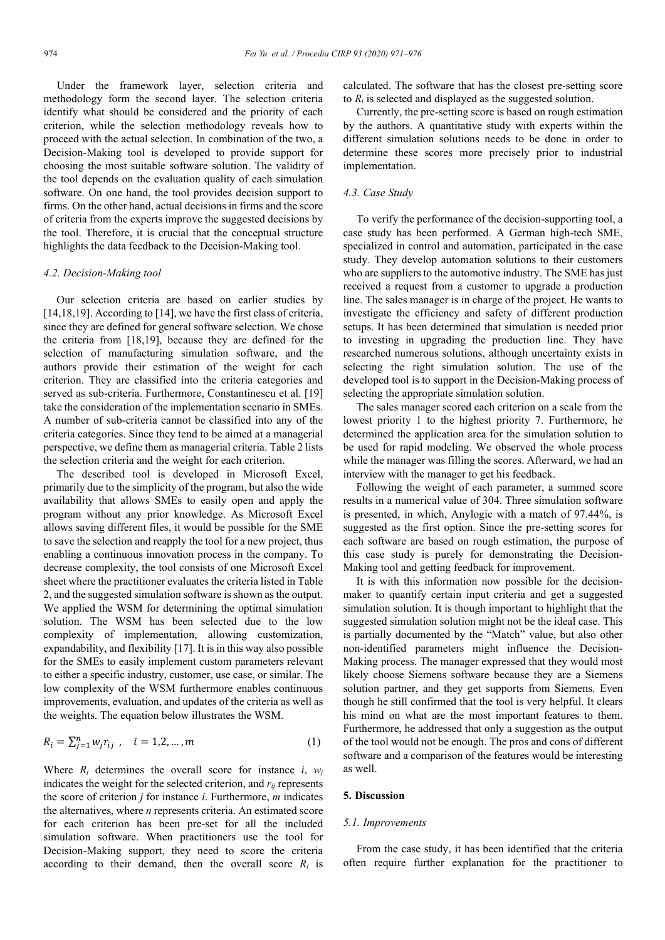Under the framework layer, selection criteria and methodology form the second layer. The selection criteria identify what should be considered and the priority of each criterion, while the selection methodology reveals how to proceed with the actual selection. In combination of the two, a Decision-Making tool is developed to provide support for choosing the most suitable software solution. The validity of the tool depends on the evaluation quality of each simulation software. On one hand, the tool provides decision support to firms. On the other hand, actual decisions in firms and the score of criteria from the experts improve the suggested decisions by the tool. Therefore, it is crucial that the conceptual structure highlights the data feedback to the Decision-Making tool.

#### *4.2. Decision-Making tool*

Our selection criteria are based on earlier studies by [14,18,19]. According to [14], we have the first class of criteria, since they are defined for general software selection. We chose the criteria from [18,19], because they are defined for the selection of manufacturing simulation software, and the authors provide their estimation of the weight for each criterion. They are classified into the criteria categories and served as sub-criteria. Furthermore, Constantinescu et al. [19] take the consideration of the implementation scenario in SMEs. A number of sub-criteria cannot be classified into any of the criteria categories. Since they tend to be aimed at a managerial perspective, we define them as managerial criteria. Table 2 lists the selection criteria and the weight for each criterion.

The described tool is developed in Microsoft Excel, primarily due to the simplicity of the program, but also the wide availability that allows SMEs to easily open and apply the program without any prior knowledge. As Microsoft Excel allows saving different files, it would be possible for the SME to save the selection and reapply the tool for a new project, thus enabling a continuous innovation process in the company. To decrease complexity, the tool consists of one Microsoft Excel sheet where the practitioner evaluates the criteria listed in Table 2, and the suggested simulation software is shown as the output. We applied the WSM for determining the optimal simulation solution. The WSM has been selected due to the low complexity of implementation, allowing customization, expandability, and flexibility [17]. It is in this way also possible for the SMEs to easily implement custom parameters relevant to either a specific industry, customer, use case, or similar. The low complexity of the WSM furthermore enables continuous improvements, evaluation, and updates of the criteria as well as the weights. The equation below illustrates the WSM.

$$
R_i = \sum_{j=1}^n w_j r_{ij} , \quad i = 1, 2, ..., m
$$
 (1)

Where  $R_i$  determines the overall score for instance  $i$ ,  $w_i$ indicates the weight for the selected criterion, and *rij* represents the score of criterion *j* for instance *i*. Furthermore, *m* indicates the alternatives, where *n* represents criteria. An estimated score for each criterion has been pre-set for all the included simulation software. When practitioners use the tool for Decision-Making support, they need to score the criteria according to their demand, then the overall score  $R_i$  is calculated. The software that has the closest pre-setting score to *Ri* is selected and displayed as the suggested solution.

Currently, the pre-setting score is based on rough estimation by the authors. A quantitative study with experts within the different simulation solutions needs to be done in order to determine these scores more precisely prior to industrial implementation.

## *4.3. Case Study*

To verify the performance of the decision-supporting tool, a case study has been performed. A German high-tech SME, specialized in control and automation, participated in the case study. They develop automation solutions to their customers who are suppliers to the automotive industry. The SME has just received a request from a customer to upgrade a production line. The sales manager is in charge of the project. He wants to investigate the efficiency and safety of different production setups. It has been determined that simulation is needed prior to investing in upgrading the production line. They have researched numerous solutions, although uncertainty exists in selecting the right simulation solution. The use of the developed tool is to support in the Decision-Making process of selecting the appropriate simulation solution.

The sales manager scored each criterion on a scale from the lowest priority 1 to the highest priority 7. Furthermore, he determined the application area for the simulation solution to be used for rapid modeling. We observed the whole process while the manager was filling the scores. Afterward, we had an interview with the manager to get his feedback.

Following the weight of each parameter, a summed score results in a numerical value of 304. Three simulation software is presented, in which, Anylogic with a match of 97.44%, is suggested as the first option. Since the pre-setting scores for each software are based on rough estimation, the purpose of this case study is purely for demonstrating the Decision-Making tool and getting feedback for improvement.

It is with this information now possible for the decisionmaker to quantify certain input criteria and get a suggested simulation solution. It is though important to highlight that the suggested simulation solution might not be the ideal case. This is partially documented by the "Match" value, but also other non-identified parameters might influence the Decision-Making process. The manager expressed that they would most likely choose Siemens software because they are a Siemens solution partner, and they get supports from Siemens. Even though he still confirmed that the tool is very helpful. It clears his mind on what are the most important features to them. Furthermore, he addressed that only a suggestion as the output of the tool would not be enough. The pros and cons of different software and a comparison of the features would be interesting as well.

#### **5. Discussion**

#### *5.1. Improvements*

From the case study, it has been identified that the criteria often require further explanation for the practitioner to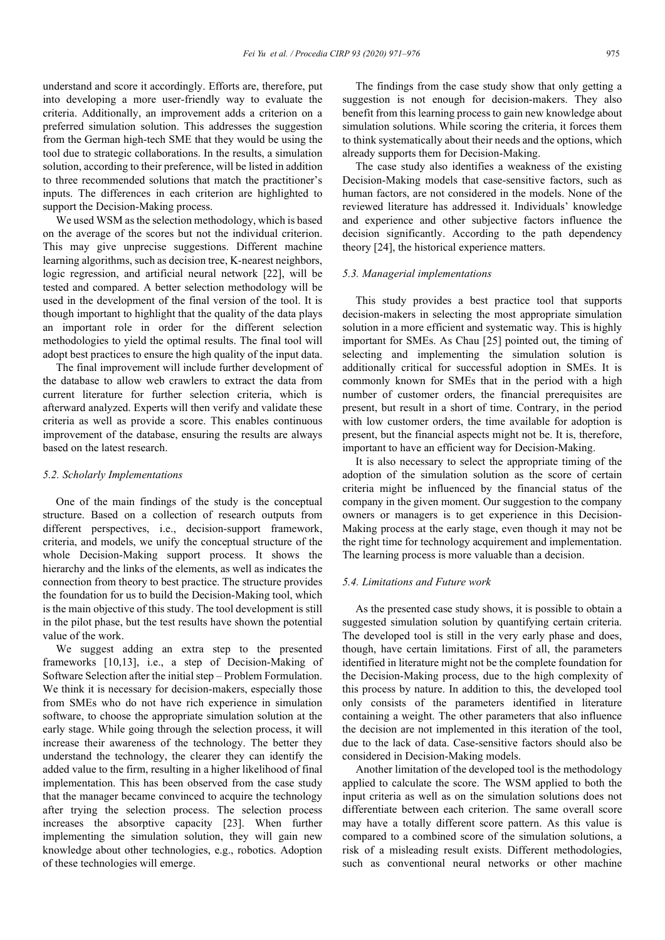understand and score it accordingly. Efforts are, therefore, put into developing a more user-friendly way to evaluate the criteria. Additionally, an improvement adds a criterion on a preferred simulation solution. This addresses the suggestion from the German high-tech SME that they would be using the tool due to strategic collaborations. In the results, a simulation solution, according to their preference, will be listed in addition to three recommended solutions that match the practitioner's inputs. The differences in each criterion are highlighted to support the Decision-Making process.

We used WSM as the selection methodology, which is based on the average of the scores but not the individual criterion. This may give unprecise suggestions. Different machine learning algorithms, such as decision tree, K-nearest neighbors, logic regression, and artificial neural network [22], will be tested and compared. A better selection methodology will be used in the development of the final version of the tool. It is though important to highlight that the quality of the data plays an important role in order for the different selection methodologies to yield the optimal results. The final tool will adopt best practices to ensure the high quality of the input data.

The final improvement will include further development of the database to allow web crawlers to extract the data from current literature for further selection criteria, which is afterward analyzed. Experts will then verify and validate these criteria as well as provide a score. This enables continuous improvement of the database, ensuring the results are always based on the latest research.

#### *5.2. Scholarly Implementations*

One of the main findings of the study is the conceptual structure. Based on a collection of research outputs from different perspectives, i.e., decision-support framework, criteria, and models, we unify the conceptual structure of the whole Decision-Making support process. It shows the hierarchy and the links of the elements, as well as indicates the connection from theory to best practice. The structure provides the foundation for us to build the Decision-Making tool, which is the main objective of this study. The tool development is still in the pilot phase, but the test results have shown the potential value of the work.

We suggest adding an extra step to the presented frameworks [10,13], i.e., a step of Decision-Making of Software Selection after the initial step – Problem Formulation. We think it is necessary for decision-makers, especially those from SMEs who do not have rich experience in simulation software, to choose the appropriate simulation solution at the early stage. While going through the selection process, it will increase their awareness of the technology. The better they understand the technology, the clearer they can identify the added value to the firm, resulting in a higher likelihood of final implementation. This has been observed from the case study that the manager became convinced to acquire the technology after trying the selection process. The selection process increases the absorptive capacity [23]. When further implementing the simulation solution, they will gain new knowledge about other technologies, e.g., robotics. Adoption of these technologies will emerge.

The findings from the case study show that only getting a suggestion is not enough for decision-makers. They also benefit from this learning process to gain new knowledge about simulation solutions. While scoring the criteria, it forces them to think systematically about their needs and the options, which already supports them for Decision-Making.

The case study also identifies a weakness of the existing Decision-Making models that case-sensitive factors, such as human factors, are not considered in the models. None of the reviewed literature has addressed it. Individuals' knowledge and experience and other subjective factors influence the decision significantly. According to the path dependency theory [24], the historical experience matters.

#### *5.3. Managerial implementations*

This study provides a best practice tool that supports decision-makers in selecting the most appropriate simulation solution in a more efficient and systematic way. This is highly important for SMEs. As Chau [25] pointed out, the timing of selecting and implementing the simulation solution is additionally critical for successful adoption in SMEs. It is commonly known for SMEs that in the period with a high number of customer orders, the financial prerequisites are present, but result in a short of time. Contrary, in the period with low customer orders, the time available for adoption is present, but the financial aspects might not be. It is, therefore, important to have an efficient way for Decision-Making.

It is also necessary to select the appropriate timing of the adoption of the simulation solution as the score of certain criteria might be influenced by the financial status of the company in the given moment. Our suggestion to the company owners or managers is to get experience in this Decision-Making process at the early stage, even though it may not be the right time for technology acquirement and implementation. The learning process is more valuable than a decision.

#### *5.4. Limitations and Future work*

As the presented case study shows, it is possible to obtain a suggested simulation solution by quantifying certain criteria. The developed tool is still in the very early phase and does, though, have certain limitations. First of all, the parameters identified in literature might not be the complete foundation for the Decision-Making process, due to the high complexity of this process by nature. In addition to this, the developed tool only consists of the parameters identified in literature containing a weight. The other parameters that also influence the decision are not implemented in this iteration of the tool, due to the lack of data. Case-sensitive factors should also be considered in Decision-Making models.

Another limitation of the developed tool is the methodology applied to calculate the score. The WSM applied to both the input criteria as well as on the simulation solutions does not differentiate between each criterion. The same overall score may have a totally different score pattern. As this value is compared to a combined score of the simulation solutions, a risk of a misleading result exists. Different methodologies, such as conventional neural networks or other machine